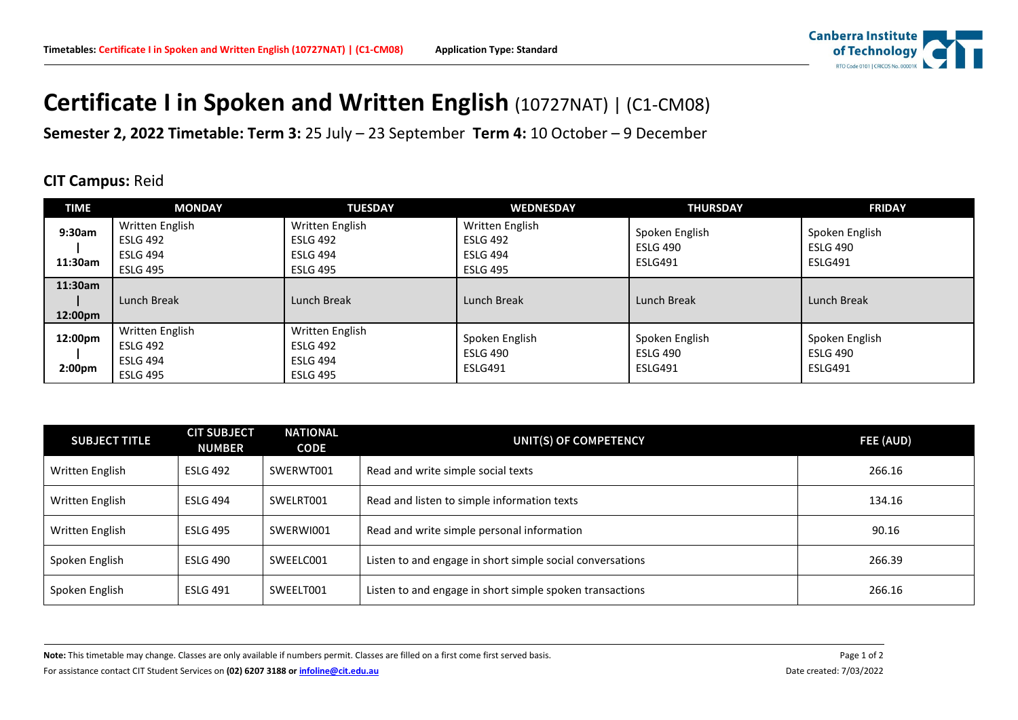

## **Certificate I in Spoken and Written English (10727NAT) | (C1-CM08)**

**Semester 2, 2022 Timetable: Term 3:** 25 July – 23 September **Term 4:** 10 October – 9 December

## **CIT Campus:** Reid

| <b>TIME</b>                   | <b>MONDAY</b>                                                            | <b>TUESDAY</b>                                                           | <b>WEDNESDAY</b>                                                         | <b>THURSDAY</b>                              | <b>FRIDAY</b>                                |
|-------------------------------|--------------------------------------------------------------------------|--------------------------------------------------------------------------|--------------------------------------------------------------------------|----------------------------------------------|----------------------------------------------|
| 9:30am<br>11:30am             | Written English<br><b>ESLG 492</b><br><b>ESLG 494</b><br><b>ESLG 495</b> | Written English<br><b>ESLG 492</b><br><b>ESLG 494</b><br><b>ESLG 495</b> | Written English<br><b>ESLG 492</b><br><b>ESLG 494</b><br><b>ESLG 495</b> | Spoken English<br><b>ESLG 490</b><br>ESLG491 | Spoken English<br><b>ESLG 490</b><br>ESLG491 |
| 11:30am<br>12:00pm            | Lunch Break                                                              | Lunch Break                                                              | Lunch Break                                                              | Lunch Break                                  | Lunch Break                                  |
| 12:00pm<br>2:00 <sub>pm</sub> | Written English<br>ESLG 492<br>ESLG 494<br><b>ESLG 495</b>               | Written English<br><b>ESLG 492</b><br><b>ESLG 494</b><br><b>ESLG 495</b> | Spoken English<br><b>ESLG 490</b><br>ESLG491                             | Spoken English<br><b>ESLG 490</b><br>ESLG491 | Spoken English<br><b>ESLG 490</b><br>ESLG491 |

| <b>SUBJECT TITLE</b> | <b>CIT SUBJECT</b><br><b>NUMBER</b> | <b>NATIONAL</b><br><b>CODE</b> | UNIT(S) OF COMPETENCY                                     | FEE (AUD) |
|----------------------|-------------------------------------|--------------------------------|-----------------------------------------------------------|-----------|
| Written English      | <b>ESLG 492</b>                     | SWERWT001                      | Read and write simple social texts                        | 266.16    |
| Written English      | <b>ESLG 494</b>                     | SWELRT001                      | Read and listen to simple information texts               | 134.16    |
| Written English      | <b>ESLG 495</b>                     | SWERWI001                      | Read and write simple personal information                | 90.16     |
| Spoken English       | <b>ESLG 490</b>                     | SWEELC001                      | Listen to and engage in short simple social conversations | 266.39    |
| Spoken English       | <b>ESLG 491</b>                     | SWEELT001                      | Listen to and engage in short simple spoken transactions  | 266.16    |

Note: This timetable may change. Classes are only available if numbers permit. Classes are filled on a first come first served basis. Page 1 of 2

For assistance contact CIT Student Services on **(02) 6207 3188 o[r infoline@cit.edu.au](mailto:infoline@cit.edu.au)** Date created: 7/03/2022